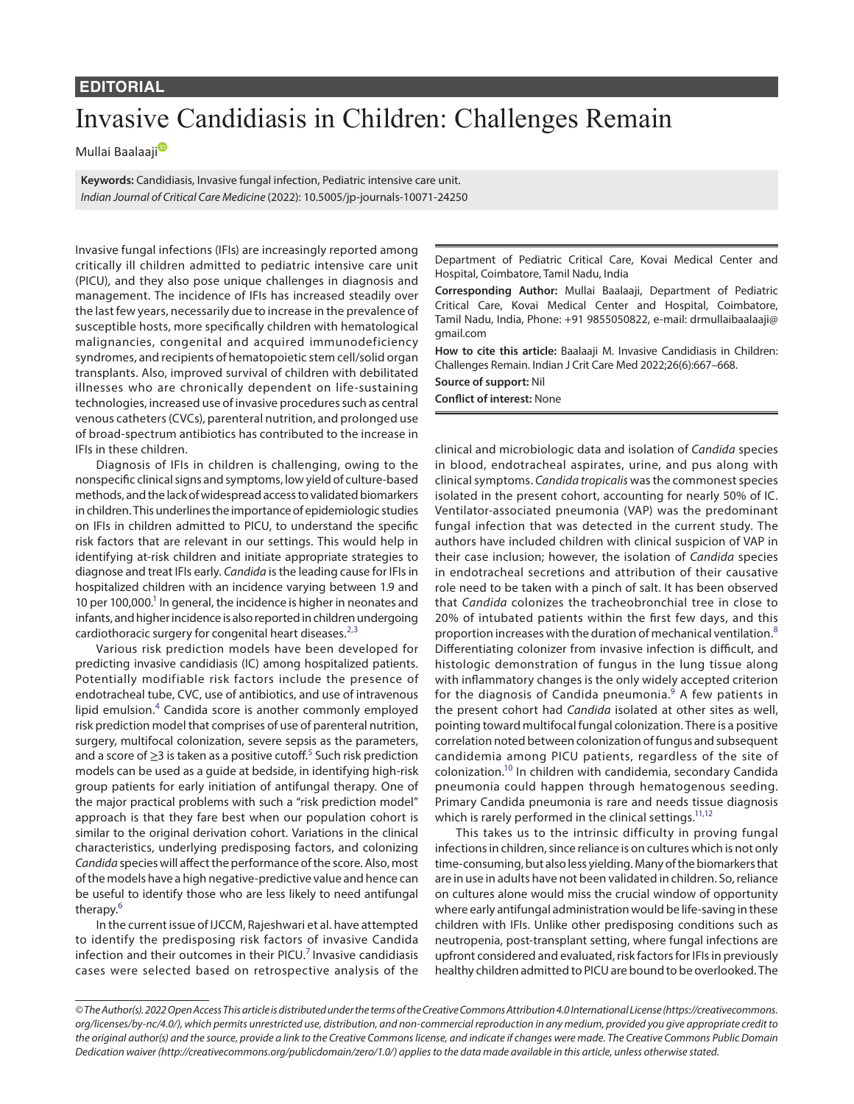## **EDITORIAL**

## Invasive Candidiasis in Children: Challenges Remain

Mulla[i](https://orcid.org/0000-0003-1746-1586) Baalaaji<sup>®</sup>

**Keywords:** Candidiasis, Invasive fungal infection, Pediatric intensive care unit. *Indian Journal of Critical Care Medicine* (2022): 10.5005/jp-journals-10071-24250

Invasive fungal infections (IFIs) are increasingly reported among critically ill children admitted to pediatric intensive care unit (PICU), and they also pose unique challenges in diagnosis and management. The incidence of IFIs has increased steadily over the last few years, necessarily due to increase in the prevalence of susceptible hosts, more specifically children with hematological malignancies, congenital and acquired immunodeficiency syndromes, and recipients of hematopoietic stem cell/solid organ transplants. Also, improved survival of children with debilitated illnesses who are chronically dependent on life-sustaining technologies, increased use of invasive procedures such as central venous catheters (CVCs), parenteral nutrition, and prolonged use of broad-spectrum antibiotics has contributed to the increase in IFIs in these children.

Diagnosis of IFIs in children is challenging, owing to the nonspecific clinical signs and symptoms, low yield of culture-based methods, and the lack of widespread access to validated biomarkers in children. This underlines the importance of epidemiologic studies on IFIs in children admitted to PICU, to understand the specific risk factors that are relevant in our settings. This would help in identifying at-risk children and initiate appropriate strategies to diagnose and treat IFIs early. *Candida* is the leading cause for IFIs in hospitalized children with an incidence varying between 1.9 and 10 per 100,000.<sup>1</sup> In general, the incidence is higher in neonates and infants, and higher incidence is also reported in children undergoing cardiothoracic surgery for congenital heart diseases.<sup>[2](#page-1-1),[3](#page-1-2)</sup>

Various risk prediction models have been developed for predicting invasive candidiasis (IC) among hospitalized patients. Potentially modifiable risk factors include the presence of endotracheal tube, CVC, use of antibiotics, and use of intravenous lipid emulsion.<sup>[4](#page-1-3)</sup> Candida score is another commonly employed risk prediction model that comprises of use of parenteral nutrition, surgery, multifocal colonization, severe sepsis as the parameters, and a score of  $\geq$ 3 is taken as a positive cutoff.<sup>[5](#page-1-4)</sup> Such risk prediction models can be used as a guide at bedside, in identifying high-risk group patients for early initiation of antifungal therapy. One of the major practical problems with such a "risk prediction model" approach is that they fare best when our population cohort is similar to the original derivation cohort. Variations in the clinical characteristics, underlying predisposing factors, and colonizing *Candida* species will affect the performance of the score. Also, most of the models have a high negative-predictive value and hence can be useful to identify those who are less likely to need antifungal therapy.<sup>[6](#page-1-5)</sup>

In the current issue of IJCCM, Rajeshwari et al. have attempted to identify the predisposing risk factors of invasive Candida infection and their outcomes in their PICU.<sup>[7](#page-1-6)</sup> Invasive candidiasis cases were selected based on retrospective analysis of the Department of Pediatric Critical Care, Kovai Medical Center and Hospital, Coimbatore, Tamil Nadu, India

**Corresponding Author:** Mullai Baalaaji, Department of Pediatric Critical Care, Kovai Medical Center and Hospital, Coimbatore, Tamil Nadu, India, Phone: +91 9855050822, e-mail: drmullaibaalaaji@ gmail.com

**How to cite this article:** Baalaaji M. Invasive Candidiasis in Children: Challenges Remain. Indian J Crit Care Med 2022;26(6):667–668.

**Source of support:** Nil **Conflict of interest:** None

clinical and microbiologic data and isolation of *Candida* species in blood, endotracheal aspirates, urine, and pus along with clinical symptoms. *Candida tropicalis* was the commonest species isolated in the present cohort, accounting for nearly 50% of IC. Ventilator-associated pneumonia (VAP) was the predominant fungal infection that was detected in the current study. The authors have included children with clinical suspicion of VAP in their case inclusion; however, the isolation of *Candida* species in endotracheal secretions and attribution of their causative role need to be taken with a pinch of salt. It has been observed that *Candida* colonizes the tracheobronchial tree in close to 20% of intubated patients within the first few days, and this proportion increases with the duration of mechanical ventilation.<sup>[8](#page-1-7)</sup> Differentiating colonizer from invasive infection is difficult, and histologic demonstration of fungus in the lung tissue along with inflammatory changes is the only widely accepted criterion for the diagnosis of Candida pneumonia. $^9$  $^9$  A few patients in the present cohort had *Candida* isolated at other sites as well, pointing toward multifocal fungal colonization. There is a positive correlation noted between colonization of fungus and subsequent candidemia among PICU patients, regardless of the site of colonization[.10](#page-1-9) In children with candidemia, secondary Candida pneumonia could happen through hematogenous seeding. Primary Candida pneumonia is rare and needs tissue diagnosis which is rarely performed in the clinical settings.<sup>11[,12](#page-1-11)</sup>

This takes us to the intrinsic difficulty in proving fungal infections in children, since reliance is on cultures which is not only time-consuming, but also less yielding. Many of the biomarkers that are in use in adults have not been validated in children. So, reliance on cultures alone would miss the crucial window of opportunity where early antifungal administration would be life-saving in these children with IFIs. Unlike other predisposing conditions such as neutropenia, post-transplant setting, where fungal infections are upfront considered and evaluated, risk factors for IFIs in previously healthy children admitted to PICU are bound to be overlooked. The

*<sup>©</sup> The Author(s). 2022 Open Access This article is distributed under the terms of the Creative Commons Attribution 4.0 International License ([https://creativecommons.](https://creativecommons.org/licenses/by-nc/4.0/) [org/licenses/by-nc/4.0/](https://creativecommons.org/licenses/by-nc/4.0/)), which permits unrestricted use, distribution, and non-commercial reproduction in any medium, provided you give appropriate credit to the original author(s) and the source, provide a link to the Creative Commons license, and indicate if changes were made. The Creative Commons Public Domain Dedication waiver ([http://creativecommons.org/publicdomain/zero/1.0/\)](http://creativecommons.org/publicdomain/zero/1.0/) applies to the data made available in this article, unless otherwise stated.*